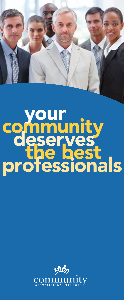

# your community deserves<br>the best<br>professionals

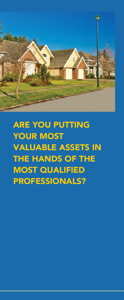

**ARE YOU PUTTING** your most valuable assets in the hands of the **MOST QUALIFIED** professionals?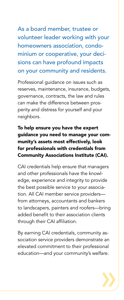As a board member, trustee or volunteer leader working with your homeowners association, condominium or cooperative, your decisions can have profound impacts on your community and residents.

Professional guidance on issues such as reserves, maintenance, insurance, budgets, governance, contracts, the law and rules can make the difference between prosperity and distress for yourself and your neighbors.

#### To help ensure you have the expert guidance you need to manage your community's assets most effectively, look for professionals with credentials from Community Associations Institute (CAI).

CAI credentials help ensure that managers and other professionals have the knowledge, experience and integrity to provide the best possible service to your association. All CAI member service providers from attorneys, accountants and bankers to landscapers, painters and roofers—bring added benefit to their association clients through their CAI affiliation.

By earning CAI credentials, community association service providers demonstrate an elevated commitment to their professional education—and your community's welfare.

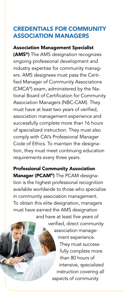#### credentials for community association managers

#### Association Management Specialist

(AMS<sup>®</sup>) The AMS designation recognizes ongoing professional development and industry expertise for community managers. AMS designees must pass the Certified Manager of Community Associations (CMCA®) exam, administered by the National Board of Certification for Community Association Managers (NBC-CAM). They must have at least two years of verified, association management experience and successfully complete more than 16 hours of specialized instruction. They must also comply with CAI's Professional Manager Code of Ethics. To maintain the designation, they must meet continuing education requirements every three years.

Professional Community Association Manager (PCAM®) The PCAM designation is the highest professional recognition available worldwide to those who specialize in community association management. To obtain this elite designation, managers must have earned the AMS designation and have at least five years of

> verified, direct community association management experience. They must successfully complete more than 80 hours of intensive, specialized instruction covering all aspects of community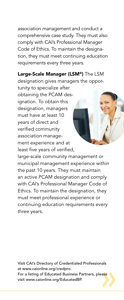association management and conduct a comprehensive case study. They must also comply with CAI's Professional Manager Code of Ethics. To maintain the designation, they must meet continuing education requirements every three years.

## Large-Scale Manager (LSM®) The LSM

designation gives managers the oppor-

tunity to specialize after obtaining the PCAM designation. To obtain this designation, managers must have at least 10 years of direct and verified community association management experience and at least five years of verified,

large-scale community management or municipal management experience within the past 10 years. They must maintain an active PCAM designation and comply with CAI's Professional Manager Code of Ethics. To maintain the designation, they must meet professional experience or continuing education requirements every three years.

Visit CAI's Directory of Credentialed Professionals at www.caionline.org/credpro. For a listing of Educated Business Partners, please

visit www.caionline.org/EducatedBP.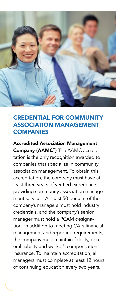

#### credential for community association management **COMPANIES**

#### Accredited Association Management

Company (AAMC®) The AAMC accreditation is the only recognition awarded to companies that specialize in community association management. To obtain this accreditation, the company must have at least three years of verified experience providing community association management services. At least 50 percent of the company's managers must hold industry credentials, and the company's senior manager must hold a PCAM designation. In addition to meeting CAI's financial management and reporting requirements, the company must maintain fidelity, general liability and worker's compensation insurance. To maintain accreditation, all managers must complete at least 12 hours of continuing education every two years.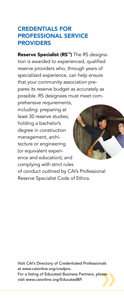#### Credentials for Professional service **PROVIDERS**

Reserve Specialist (RS™) The RS designation is awarded to experienced, qualified reserve providers who, through years of specialized experience, can help ensure that your community association prepares its reserve budget as accurately as possible. RS designees must meet com-

prehensive requirements, including: preparing at least 30 reserve studies; holding a bachelor's degree in construction management, architecture or engineering (or equivalent experience and education); and complying with strict rules of conduct outlined by CAI's Professional Reserve Specialist Code of Ethics.

Visit CAI's Directory of Credentialed Professionals at www.caionline.org/credpro. For a listing of Educated Business Partners, please visit www.caionline.org/EducatedBP.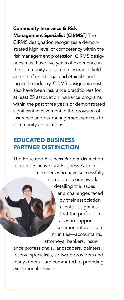#### Community Insurance & Risk Management Specialist (CIRMS®) The

CIRMS designation recognizes a demonstrated high level of competency within the risk management profession. CIRMS designees must have five years of experience in the community association insurance field and be of good legal and ethical standing in the industry. CIRMS designees must also have been insurance practitioners for at least 25 association insurance programs within the past three years or demonstrated significant involvement in the provision of insurance and risk management services to community associations.

#### Educated Business Partner Distinction

The Educated Business Partner distinction recognizes active CAI Business Partner members who have successfully completed coursework detailing the issues and challenges faced by their association clients. It signifies that the professionals who support common-interest communities—accountants, attorneys, bankers, insur-

ance professionals, landscapers, painters, reserve specialists, software providers and many others—are committed to providing exceptional service.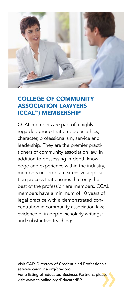

#### College of Community Association Lawyers (CCAL™) Membership

CCAL members are part of a highly regarded group that embodies ethics, character, professionalism, service and leadership. They are the premier practitioners of community association law. In addition to possessing in-depth knowledge and experience within the industry, members undergo an extensive application process that ensures that only the best of the profession are members. CCAL members have a minimum of 10 years of legal practice with a demonstrated concentration in community association law; evidence of in-depth, scholarly writings; and substantive teachings.

Visit CAI's Directory of Credentialed Professionals at www.caionline.org/credpro. For a listing of Educated Business Partners, please

visit www.caionline.org/EducatedBP.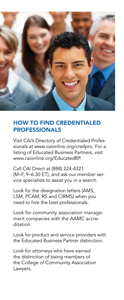

### How to Find Credentialed **PROFESSIONALS**

Visit CAI's Directory of Credentialed Professionals at www.caionline.org/credpro. For a listing of Educated Business Partners, visit www.caionline.org/EducatedBP.

Call CAI Direct at (888) 224-4321 (M–F, 9–6:30 ET), and ask our member service specialists to assist you in a search.

Look for the designation letters (AMS, LSM, PCAM, RS and CIRMS) when you need to hire the best professionals.

Look for community association management companies with the AAMC accreditation.

Look for product and service providers with the Educated Business Partner distinction.

Look for attorneys who have earned the distinction of being members of the College of Community Association Lawyers.